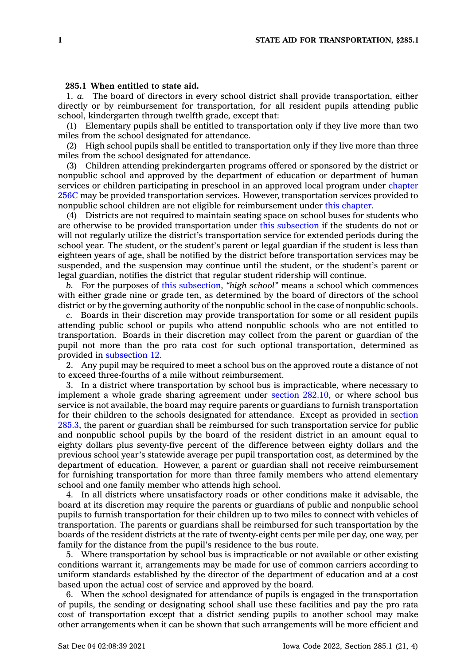## **285.1 When entitled to state aid.**

1. *a.* The board of directors in every school district shall provide transportation, either directly or by reimbursement for transportation, for all resident pupils attending public school, kindergarten through twelfth grade, except that:

(1) Elementary pupils shall be entitled to transportation only if they live more than two miles from the school designated for attendance.

(2) High school pupils shall be entitled to transportation only if they live more than three miles from the school designated for attendance.

(3) Children attending prekindergarten programs offered or sponsored by the district or nonpublic school and approved by the department of education or department of human services or children participating in preschool in an approved local program under [chapter](https://www.legis.iowa.gov/docs/code//256C.pdf) [256C](https://www.legis.iowa.gov/docs/code//256C.pdf) may be provided transportation services. However, transportation services provided to nonpublic school children are not eligible for reimbursement under this [chapter](https://www.legis.iowa.gov/docs/code//285.pdf).

(4) Districts are not required to maintain seating space on school buses for students who are otherwise to be provided transportation under this [subsection](https://www.legis.iowa.gov/docs/code/285.1.pdf) if the students do not or will not regularly utilize the district's transportation service for extended periods during the school year. The student, or the student's parent or legal guardian if the student is less than eighteen years of age, shall be notified by the district before transportation services may be suspended, and the suspension may continue until the student, or the student's parent or legal guardian, notifies the district that regular student ridership will continue.

*b.* For the purposes of this [subsection](https://www.legis.iowa.gov/docs/code/285.1.pdf), *"high school"* means <sup>a</sup> school which commences with either grade nine or grade ten, as determined by the board of directors of the school district or by the governing authority of the nonpublic school in the case of nonpublic schools.

*c.* Boards in their discretion may provide transportation for some or all resident pupils attending public school or pupils who attend nonpublic schools who are not entitled to transportation. Boards in their discretion may collect from the parent or guardian of the pupil not more than the pro rata cost for such optional transportation, determined as provided in [subsection](https://www.legis.iowa.gov/docs/code/285.1.pdf) 12.

2. Any pupil may be required to meet <sup>a</sup> school bus on the approved route <sup>a</sup> distance of not to exceed three-fourths of <sup>a</sup> mile without reimbursement.

3. In <sup>a</sup> district where transportation by school bus is impracticable, where necessary to implement <sup>a</sup> whole grade sharing agreement under section [282.10](https://www.legis.iowa.gov/docs/code/282.10.pdf), or where school bus service is not available, the board may require parents or guardians to furnish transportation for their children to the schools designated for attendance. Except as provided in [section](https://www.legis.iowa.gov/docs/code/285.3.pdf) [285.3](https://www.legis.iowa.gov/docs/code/285.3.pdf), the parent or guardian shall be reimbursed for such transportation service for public and nonpublic school pupils by the board of the resident district in an amount equal to eighty dollars plus seventy-five percent of the difference between eighty dollars and the previous school year's statewide average per pupil transportation cost, as determined by the department of education. However, <sup>a</sup> parent or guardian shall not receive reimbursement for furnishing transportation for more than three family members who attend elementary school and one family member who attends high school.

4. In all districts where unsatisfactory roads or other conditions make it advisable, the board at its discretion may require the parents or guardians of public and nonpublic school pupils to furnish transportation for their children up to two miles to connect with vehicles of transportation. The parents or guardians shall be reimbursed for such transportation by the boards of the resident districts at the rate of twenty-eight cents per mile per day, one way, per family for the distance from the pupil's residence to the bus route.

5. Where transportation by school bus is impracticable or not available or other existing conditions warrant it, arrangements may be made for use of common carriers according to uniform standards established by the director of the department of education and at <sup>a</sup> cost based upon the actual cost of service and approved by the board.

6. When the school designated for attendance of pupils is engaged in the transportation of pupils, the sending or designating school shall use these facilities and pay the pro rata cost of transportation except that <sup>a</sup> district sending pupils to another school may make other arrangements when it can be shown that such arrangements will be more efficient and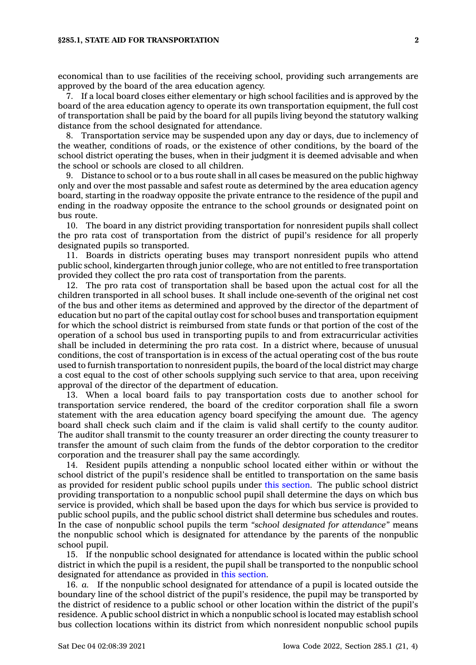economical than to use facilities of the receiving school, providing such arrangements are approved by the board of the area education agency.

7. If <sup>a</sup> local board closes either elementary or high school facilities and is approved by the board of the area education agency to operate its own transportation equipment, the full cost of transportation shall be paid by the board for all pupils living beyond the statutory walking distance from the school designated for attendance.

8. Transportation service may be suspended upon any day or days, due to inclemency of the weather, conditions of roads, or the existence of other conditions, by the board of the school district operating the buses, when in their judgment it is deemed advisable and when the school or schools are closed to all children.

9. Distance to school or to <sup>a</sup> bus route shall in all cases be measured on the public highway only and over the most passable and safest route as determined by the area education agency board, starting in the roadway opposite the private entrance to the residence of the pupil and ending in the roadway opposite the entrance to the school grounds or designated point on bus route.

10. The board in any district providing transportation for nonresident pupils shall collect the pro rata cost of transportation from the district of pupil's residence for all properly designated pupils so transported.

11. Boards in districts operating buses may transport nonresident pupils who attend public school, kindergarten through junior college, who are not entitled to free transportation provided they collect the pro rata cost of transportation from the parents.

12. The pro rata cost of transportation shall be based upon the actual cost for all the children transported in all school buses. It shall include one-seventh of the original net cost of the bus and other items as determined and approved by the director of the department of education but no part of the capital outlay cost for school buses and transportation equipment for which the school district is reimbursed from state funds or that portion of the cost of the operation of <sup>a</sup> school bus used in transporting pupils to and from extracurricular activities shall be included in determining the pro rata cost. In <sup>a</sup> district where, because of unusual conditions, the cost of transportation is in excess of the actual operating cost of the bus route used to furnish transportation to nonresident pupils, the board of the local district may charge <sup>a</sup> cost equal to the cost of other schools supplying such service to that area, upon receiving approval of the director of the department of education.

13. When <sup>a</sup> local board fails to pay transportation costs due to another school for transportation service rendered, the board of the creditor corporation shall file <sup>a</sup> sworn statement with the area education agency board specifying the amount due. The agency board shall check such claim and if the claim is valid shall certify to the county auditor. The auditor shall transmit to the county treasurer an order directing the county treasurer to transfer the amount of such claim from the funds of the debtor corporation to the creditor corporation and the treasurer shall pay the same accordingly.

14. Resident pupils attending <sup>a</sup> nonpublic school located either within or without the school district of the pupil's residence shall be entitled to transportation on the same basis as provided for resident public school pupils under this [section](https://www.legis.iowa.gov/docs/code/285.1.pdf). The public school district providing transportation to <sup>a</sup> nonpublic school pupil shall determine the days on which bus service is provided, which shall be based upon the days for which bus service is provided to public school pupils, and the public school district shall determine bus schedules and routes. In the case of nonpublic school pupils the term *"school designated for attendance"* means the nonpublic school which is designated for attendance by the parents of the nonpublic school pupil.

15. If the nonpublic school designated for attendance is located within the public school district in which the pupil is <sup>a</sup> resident, the pupil shall be transported to the nonpublic school designated for attendance as provided in this [section](https://www.legis.iowa.gov/docs/code/285.1.pdf).

16. *a.* If the nonpublic school designated for attendance of <sup>a</sup> pupil is located outside the boundary line of the school district of the pupil's residence, the pupil may be transported by the district of residence to <sup>a</sup> public school or other location within the district of the pupil's residence. A public school district in which <sup>a</sup> nonpublic school is located may establish school bus collection locations within its district from which nonresident nonpublic school pupils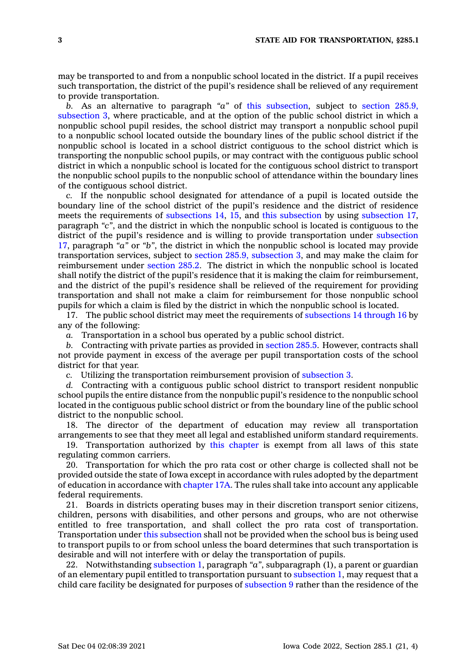may be transported to and from <sup>a</sup> nonpublic school located in the district. If <sup>a</sup> pupil receives such transportation, the district of the pupil's residence shall be relieved of any requirement to provide transportation.

*b.* As an alternative to paragraph *"a"* of this [subsection](https://www.legis.iowa.gov/docs/code/285.1.pdf), subject to section [285.9,](https://www.legis.iowa.gov/docs/code/285.9.pdf) [subsection](https://www.legis.iowa.gov/docs/code/285.9.pdf) 3, where practicable, and at the option of the public school district in which <sup>a</sup> nonpublic school pupil resides, the school district may transport <sup>a</sup> nonpublic school pupil to <sup>a</sup> nonpublic school located outside the boundary lines of the public school district if the nonpublic school is located in <sup>a</sup> school district contiguous to the school district which is transporting the nonpublic school pupils, or may contract with the contiguous public school district in which <sup>a</sup> nonpublic school is located for the contiguous school district to transport the nonpublic school pupils to the nonpublic school of attendance within the boundary lines of the contiguous school district.

*c.* If the nonpublic school designated for attendance of <sup>a</sup> pupil is located outside the boundary line of the school district of the pupil's residence and the district of residence meets the requirements of [subsections](https://www.legis.iowa.gov/docs/code/285.1.pdf) 14, [15](https://www.legis.iowa.gov/docs/code/285.1.pdf), and this [subsection](https://www.legis.iowa.gov/docs/code/285.1.pdf) by using [subsection](https://www.legis.iowa.gov/docs/code/285.1.pdf) 17, paragraph *"c"*, and the district in which the nonpublic school is located is contiguous to the district of the pupil's residence and is willing to provide transportation under [subsection](https://www.legis.iowa.gov/docs/code/285.1.pdf) [17](https://www.legis.iowa.gov/docs/code/285.1.pdf), paragraph *"a"* or *"b"*, the district in which the nonpublic school is located may provide transportation services, subject to section 285.9, [subsection](https://www.legis.iowa.gov/docs/code/285.9.pdf) 3, and may make the claim for reimbursement under [section](https://www.legis.iowa.gov/docs/code/285.2.pdf) 285.2. The district in which the nonpublic school is located shall notify the district of the pupil's residence that it is making the claim for reimbursement, and the district of the pupil's residence shall be relieved of the requirement for providing transportation and shall not make <sup>a</sup> claim for reimbursement for those nonpublic school pupils for which <sup>a</sup> claim is filed by the district in which the nonpublic school is located.

17. The public school district may meet the requirements of [subsections](https://www.legis.iowa.gov/docs/code/285.1.pdf) 14 through 16 by any of the following:

*a.* Transportation in <sup>a</sup> school bus operated by <sup>a</sup> public school district.

*b.* Contracting with private parties as provided in [section](https://www.legis.iowa.gov/docs/code/285.5.pdf) 285.5. However, contracts shall not provide payment in excess of the average per pupil transportation costs of the school district for that year.

*c.* Utilizing the transportation reimbursement provision of [subsection](https://www.legis.iowa.gov/docs/code/285.1.pdf) 3.

*d.* Contracting with <sup>a</sup> contiguous public school district to transport resident nonpublic school pupils the entire distance from the nonpublic pupil's residence to the nonpublic school located in the contiguous public school district or from the boundary line of the public school district to the nonpublic school.

18. The director of the department of education may review all transportation arrangements to see that they meet all legal and established uniform standard requirements.

19. Transportation authorized by this [chapter](https://www.legis.iowa.gov/docs/code//285.pdf) is exempt from all laws of this state regulating common carriers.

20. Transportation for which the pro rata cost or other charge is collected shall not be provided outside the state of Iowa except in accordance with rules adopted by the department of education in accordance with [chapter](https://www.legis.iowa.gov/docs/code//17A.pdf) 17A. The rules shall take into account any applicable federal requirements.

21. Boards in districts operating buses may in their discretion transport senior citizens, children, persons with disabilities, and other persons and groups, who are not otherwise entitled to free transportation, and shall collect the pro rata cost of transportation. Transportation under this [subsection](https://www.legis.iowa.gov/docs/code/285.1.pdf) shall not be provided when the school bus is being used to transport pupils to or from school unless the board determines that such transportation is desirable and will not interfere with or delay the transportation of pupils.

22. Notwithstanding [subsection](https://www.legis.iowa.gov/docs/code/285.1.pdf) 1, paragraph *"a"*, subparagraph (1), <sup>a</sup> parent or guardian of an elementary pupil entitled to transportation pursuant to [subsection](https://www.legis.iowa.gov/docs/code/285.1.pdf) 1, may request that <sup>a</sup> child care facility be designated for purposes of [subsection](https://www.legis.iowa.gov/docs/code/285.1.pdf) 9 rather than the residence of the